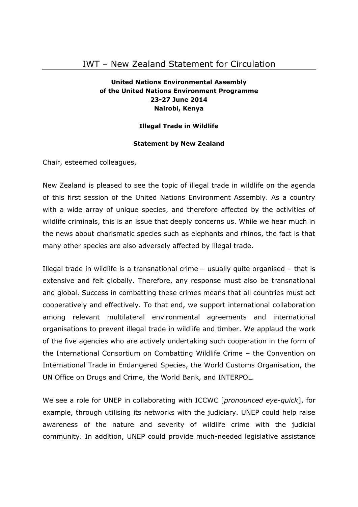# IWT – New Zealand Statement for Circulation

## **United Nations Environmental Assembly of the United Nations Environment Programme 23-27 June 2014 Nairobi, Kenya**

#### **Illegal Trade in Wildlife**

### **Statement by New Zealand**

Chair, esteemed colleagues,

New Zealand is pleased to see the topic of illegal trade in wildlife on the agenda of this first session of the United Nations Environment Assembly. As a country with a wide array of unique species, and therefore affected by the activities of wildlife criminals, this is an issue that deeply concerns us. While we hear much in the news about charismatic species such as elephants and rhinos, the fact is that many other species are also adversely affected by illegal trade.

Illegal trade in wildlife is a transnational crime  $-$  usually quite organised  $-$  that is extensive and felt globally. Therefore, any response must also be transnational and global. Success in combatting these crimes means that all countries must act cooperatively and effectively. To that end, we support international collaboration among relevant multilateral environmental agreements and international organisations to prevent illegal trade in wildlife and timber. We applaud the work of the five agencies who are actively undertaking such cooperation in the form of the International Consortium on Combatting Wildlife Crime – the Convention on International Trade in Endangered Species, the World Customs Organisation, the UN Office on Drugs and Crime, the World Bank, and INTERPOL.

We see a role for UNEP in collaborating with ICCWC [*pronounced eye-quick*], for example, through utilising its networks with the judiciary. UNEP could help raise awareness of the nature and severity of wildlife crime with the judicial community. In addition, UNEP could provide much-needed legislative assistance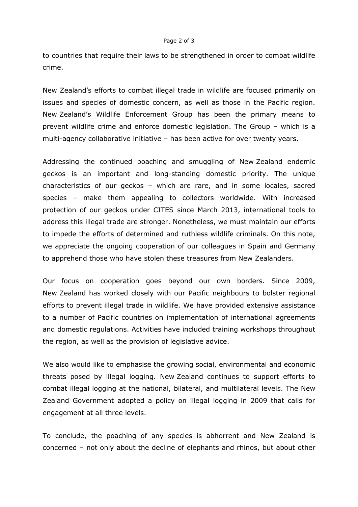#### Page 2 of 3

to countries that require their laws to be strengthened in order to combat wildlife crime.

New Zealand's efforts to combat illegal trade in wildlife are focused primarily on issues and species of domestic concern, as well as those in the Pacific region. New Zealand's Wildlife Enforcement Group has been the primary means to prevent wildlife crime and enforce domestic legislation. The Group – which is a multi-agency collaborative initiative – has been active for over twenty years.

Addressing the continued poaching and smuggling of New Zealand endemic geckos is an important and long-standing domestic priority. The unique characteristics of our geckos – which are rare, and in some locales, sacred species – make them appealing to collectors worldwide. With increased protection of our geckos under CITES since March 2013, international tools to address this illegal trade are stronger. Nonetheless, we must maintain our efforts to impede the efforts of determined and ruthless wildlife criminals. On this note, we appreciate the ongoing cooperation of our colleagues in Spain and Germany to apprehend those who have stolen these treasures from New Zealanders.

Our focus on cooperation goes beyond our own borders. Since 2009, New Zealand has worked closely with our Pacific neighbours to bolster regional efforts to prevent illegal trade in wildlife. We have provided extensive assistance to a number of Pacific countries on implementation of international agreements and domestic regulations. Activities have included training workshops throughout the region, as well as the provision of legislative advice.

We also would like to emphasise the growing social, environmental and economic threats posed by illegal logging. New Zealand continues to support efforts to combat illegal logging at the national, bilateral, and multilateral levels. The New Zealand Government adopted a policy on illegal logging in 2009 that calls for engagement at all three levels.

To conclude, the poaching of any species is abhorrent and New Zealand is concerned – not only about the decline of elephants and rhinos, but about other